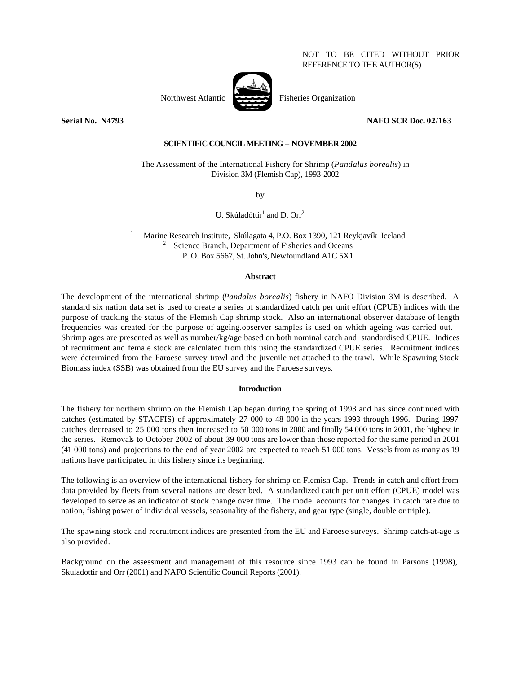NOT TO BE CITED WITHOUT PRIOR REFERENCE TO THE AUTHOR(S)

Northwest Atlantic Fisheries Organization





#### **Serial No. N4793 NAFO SCR Doc. 02/163**

# **SCIENTIFIC COUNCIL MEETING – NOVEMBER 2002**

The Assessment of the International Fishery for Shrimp (*Pandalus borealis*) in Division 3M (Flemish Cap), 1993-2002

by

U. Skúladóttir<sup>1</sup> and D. Orr<sup>2</sup>

<sup>1</sup>Marine Research Institute, Skúlagata 4, P.O. Box 1390, 121 Reykjavík Iceland  $2^{\circ}$  Science Branch, Department of Fisheries and Oceans P. O. Box 5667, St. John's, Newfoundland A1C 5X1

#### **Abstract**

The development of the international shrimp (*Pandalus borealis*) fishery in NAFO Division 3M is described. A standard six nation data set is used to create a series of standardized catch per unit effort (CPUE) indices with the purpose of tracking the status of the Flemish Cap shrimp stock. Also an international observer database of length frequencies was created for the purpose of ageing.observer samples is used on which ageing was carried out. Shrimp ages are presented as well as number/kg/age based on both nominal catch and standardised CPUE. Indices of recruitment and female stock are calculated from this using the standardized CPUE series. Recruitment indices were determined from the Faroese survey trawl and the juvenile net attached to the trawl. While Spawning Stock Biomass index (SSB) was obtained from the EU survey and the Faroese surveys.

#### **Introduction**

The fishery for northern shrimp on the Flemish Cap began during the spring of 1993 and has since continued with catches (estimated by STACFIS) of approximately 27 000 to 48 000 in the years 1993 through 1996. During 1997 catches decreased to 25 000 tons then increased to 50 000 tons in 2000 and finally 54 000 tons in 2001, the highest in the series. Removals to October 2002 of about 39 000 tons are lower than those reported for the same period in 2001 (41 000 tons) and projections to the end of year 2002 are expected to reach 51 000 tons. Vessels from as many as 19 nations have participated in this fishery since its beginning.

The following is an overview of the international fishery for shrimp on Flemish Cap. Trends in catch and effort from data provided by fleets from several nations are described. A standardized catch per unit effort (CPUE) model was developed to serve as an indicator of stock change over time. The model accounts for changes in catch rate due to nation, fishing power of individual vessels, seasonality of the fishery, and gear type (single, double or triple).

The spawning stock and recruitment indices are presented from the EU and Faroese surveys. Shrimp catch-at-age is also provided.

Background on the assessment and management of this resource since 1993 can be found in Parsons (1998), Skuladottir and Orr (2001) and NAFO Scientific Council Reports (2001).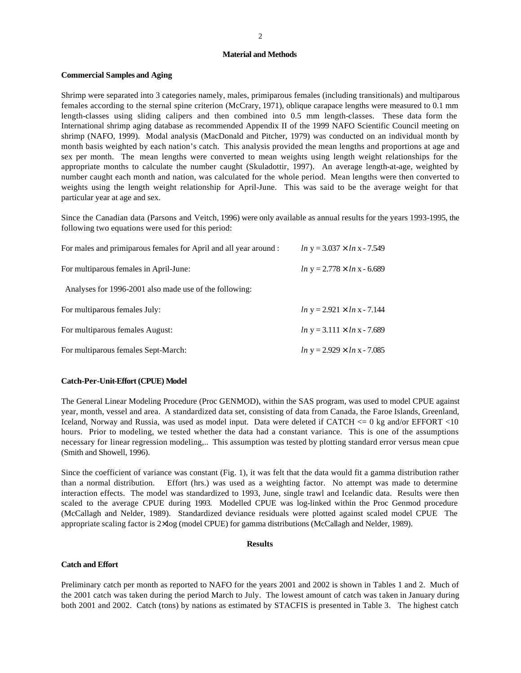#### **Material and Methods**

# **Commercial Samples and Aging**

Shrimp were separated into 3 categories namely, males, primiparous females (including transitionals) and multiparous females according to the sternal spine criterion (McCrary, 1971), oblique carapace lengths were measured to 0.1 mm length-classes using sliding calipers and then combined into 0.5 mm length-classes. These data form the International shrimp aging database as recommended Appendix II of the 1999 NAFO Scientific Council meeting on shrimp (NAFO, 1999). Modal analysis (MacDonald and Pitcher, 1979) was conducted on an individual month by month basis weighted by each nation's catch. This analysis provided the mean lengths and proportions at age and sex per month. The mean lengths were converted to mean weights using length weight relationships for the appropriate months to calculate the number caught (Skuladottir, 1997). An average length-at-age, weighted by number caught each month and nation, was calculated for the whole period. Mean lengths were then converted to weights using the length weight relationship for April-June. This was said to be the average weight for that particular year at age and sex.

Since the Canadian data (Parsons and Veitch, 1996) were only available as annual results for the years 1993-1995, the following two equations were used for this period:

| For males and primiparous females for April and all year around : | $ln y = 3.037 \times ln x - 7.549$ |
|-------------------------------------------------------------------|------------------------------------|
| For multiparous females in April-June:                            | $ln y = 2.778 \times ln x - 6.689$ |
| Analyses for 1996-2001 also made use of the following:            |                                    |
| For multiparous females July:                                     | $ln y = 2.921 \times ln x - 7.144$ |
| For multiparous females August:                                   | $ln y = 3.111 \times ln x - 7.689$ |
| For multiparous females Sept-March:                               | $ln y = 2.929 \times ln x - 7.085$ |

# **Catch-Per-Unit-Effort (CPUE) Model**

The General Linear Modeling Procedure (Proc GENMOD), within the SAS program, was used to model CPUE against year, month, vessel and area. A standardized data set, consisting of data from Canada, the Faroe Islands, Greenland, Iceland, Norway and Russia, was used as model input. Data were deleted if CATCH  $\leq$  0 kg and/or EFFORT  $\lt$ 10 hours. Prior to modeling, we tested whether the data had a constant variance. This is one of the assumptions necessary for linear regression modeling,.. This assumption was tested by plotting standard error versus mean cpue (Smith and Showell, 1996).

Since the coefficient of variance was constant (Fig. 1), it was felt that the data would fit a gamma distribution rather than a normal distribution. Effort (hrs.) was used as a weighting factor. No attempt was made to determine interaction effects. The model was standardized to 1993, June, single trawl and Icelandic data. Results were then scaled to the average CPUE during 1993. Modelled CPUE was log-linked within the Proc Genmod procedure (McCallagh and Nelder, 1989). Standardized deviance residuals were plotted against scaled model CPUE The appropriate scaling factor is 2×log (model CPUE) for gamma distributions (McCallagh and Nelder, 1989).

#### **Results**

#### **Catch and Effort**

Preliminary catch per month as reported to NAFO for the years 2001 and 2002 is shown in Tables 1 and 2. Much of the 2001 catch was taken during the period March to July. The lowest amount of catch was taken in January during both 2001 and 2002. Catch (tons) by nations as estimated by STACFIS is presented in Table 3. The highest catch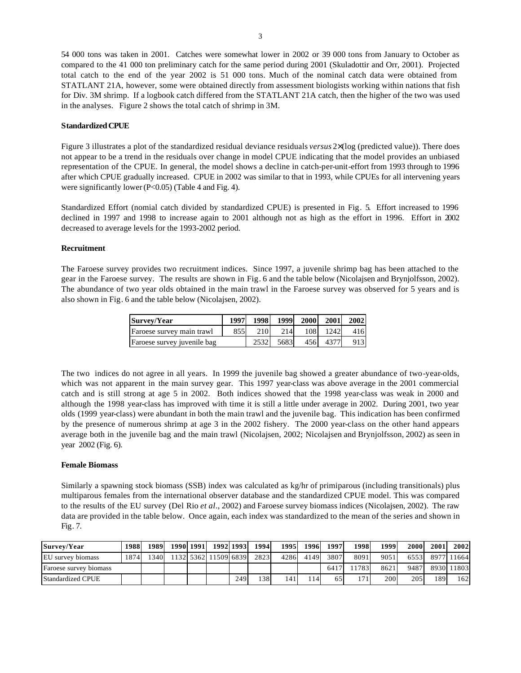54 000 tons was taken in 2001. Catches were somewhat lower in 2002 or 39 000 tons from January to October as compared to the 41 000 ton preliminary catch for the same period during 2001 (Skuladottir and Orr, 2001). Projected total catch to the end of the year 2002 is 51 000 tons. Much of the nominal catch data were obtained from STATLANT 21A, however, some were obtained directly from assessment biologists working within nations that fish for Div. 3M shrimp. If a logbook catch differed from the STATLANT 21A catch, then the higher of the two was used in the analyses. Figure 2 shows the total catch of shrimp in 3M.

# **Standardized CPUE**

Figure 3 illustrates a plot of the standardized residual deviance residuals *versus* 2×(log (predicted value)). There does not appear to be a trend in the residuals over change in model CPUE indicating that the model provides an unbiased representation of the CPUE. In general, the model shows a decline in catch-per-unit-effort from 1993 through to 1996 after which CPUE gradually increased. CPUE in 2002 was similar to that in 1993, while CPUEs for all intervening years were significantly lower (P<0.05) (Table 4 and Fig. 4).

Standardized Effort (nomial catch divided by standardized CPUE) is presented in Fig. 5. Effort increased to 1996 declined in 1997 and 1998 to increase again to 2001 although not as high as the effort in 1996. Effort in 2002 decreased to average levels for the 1993-2002 period.

# **Recruitment**

The Faroese survey provides two recruitment indices. Since 1997, a juvenile shrimp bag has been attached to the gear in the Faroese survey. The results are shown in Fig. 6 and the table below (Nicolajsen and Brynjolfsson, 2002). The abundance of two year olds obtained in the main trawl in the Faroese survey was observed for 5 years and is also shown in Fig. 6 and the table below (Nicolajsen, 2002).

| Survey/Year                 | 1997 | 1998 |      | 1999 2000 | 2001     | 2002 |
|-----------------------------|------|------|------|-----------|----------|------|
| Faroese survey main trawl   | 855  | 210  | 214  | 108       | 1242     | 416  |
| Faroese survey juvenile bag |      | 2532 | 5683 |           | 456 4377 | 913  |

The two indices do not agree in all years. In 1999 the juvenile bag showed a greater abundance of two-year-olds, which was not apparent in the main survey gear. This 1997 year-class was above average in the 2001 commercial catch and is still strong at age 5 in 2002. Both indices showed that the 1998 year-class was weak in 2000 and although the 1998 year-class has improved with time it is still a little under average in 2002. During 2001, two year olds (1999 year-class) were abundant in both the main trawl and the juvenile bag. This indication has been confirmed by the presence of numerous shrimp at age 3 in the 2002 fishery. The 2000 year-class on the other hand appears average both in the juvenile bag and the main trawl (Nicolajsen, 2002; Nicolajsen and Brynjolfsson, 2002) as seen in year 2002 (Fig. 6).

# **Female Biomass**

Similarly a spawning stock biomass (SSB) index was calculated as kg/hr of primiparous (including transitionals) plus multiparous females from the international observer database and the standardized CPUE model. This was compared to the results of the EU survey (Del Rio *et al*., 2002) and Faroese survey biomass indices (Nicolajsen, 2002). The raw data are provided in the table below. Once again, each index was standardized to the mean of the series and shown in Fig. 7.

| Survey/Year            | 1988 | 1989 |  | 1990 1991 1992 1993  |     | 1994 | 1995 | 1996 | 1997 | 1998 | 1999 | 2000 | 2001 | 2002            |
|------------------------|------|------|--|----------------------|-----|------|------|------|------|------|------|------|------|-----------------|
| EU survey biomass      | 1874 | 340  |  | 1132 5362 11509 6839 |     | 2823 | 4286 | 4149 | 3807 | 8091 | 9051 |      |      | 6553 8977 11664 |
| Faroese survey biomass |      |      |  |                      |     |      |      |      | 6417 | 1783 | 8621 |      |      | 9487 8930 11803 |
| Standardized CPUE      |      |      |  |                      | 249 | 138  | 141  | 114  | 65   | 171  | 200  | 205  | 189  | 1621            |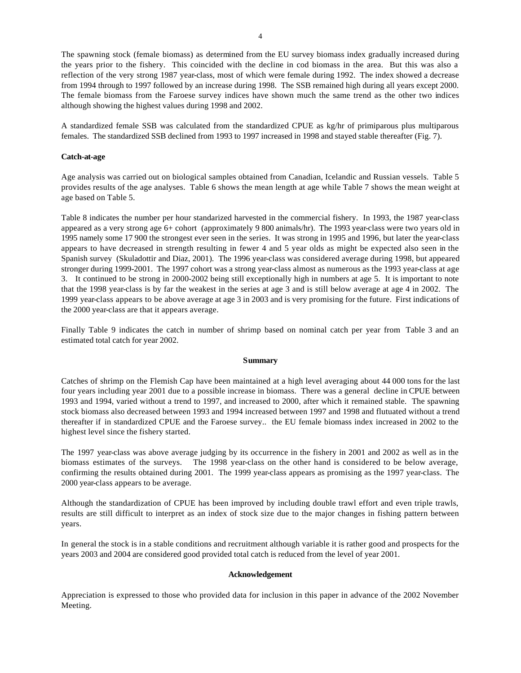The spawning stock (female biomass) as determined from the EU survey biomass index gradually increased during the years prior to the fishery. This coincided with the decline in cod biomass in the area. But this was also a reflection of the very strong 1987 year-class, most of which were female during 1992. The index showed a decrease from 1994 through to 1997 followed by an increase during 1998. The SSB remained high during all years except 2000. The female biomass from the Faroese survey indices have shown much the same trend as the other two indices although showing the highest values during 1998 and 2002.

A standardized female SSB was calculated from the standardized CPUE as kg/hr of primiparous plus multiparous females. The standardized SSB declined from 1993 to 1997 increased in 1998 and stayed stable thereafter (Fig. 7).

# **Catch-at-age**

Age analysis was carried out on biological samples obtained from Canadian, Icelandic and Russian vessels. Table 5 provides results of the age analyses. Table 6 shows the mean length at age while Table 7 shows the mean weight at age based on Table 5.

Table 8 indicates the number per hour standarized harvested in the commercial fishery. In 1993, the 1987 year-class appeared as a very strong age 6+ cohort (approximately 9 800 animals/hr). The 1993 year-class were two years old in 1995 namely some 17 900 the strongest ever seen in the series. It was strong in 1995 and 1996, but later the year-class appears to have decreased in strength resulting in fewer 4 and 5 year olds as might be expected also seen in the Spanish survey (Skuladottir and Diaz, 2001). The 1996 year-class was considered average during 1998, but appeared stronger during 1999-2001. The 1997 cohort was a strong year-class almost as numerous as the 1993 year-class at age 3. It continued to be strong in 2000-2002 being still exceptionally high in numbers at age 5. It is important to note that the 1998 year-class is by far the weakest in the series at age 3 and is still below average at age 4 in 2002. The 1999 year-class appears to be above average at age 3 in 2003 and is very promising for the future. First indications of the 2000 year-class are that it appears average.

Finally Table 9 indicates the catch in number of shrimp based on nominal catch per year from Table 3 and an estimated total catch for year 2002.

# **Summary**

Catches of shrimp on the Flemish Cap have been maintained at a high level averaging about 44 000 tons for the last four years including year 2001 due to a possible increase in biomass. There was a general decline in CPUE between 1993 and 1994, varied without a trend to 1997, and increased to 2000, after which it remained stable. The spawning stock biomass also decreased between 1993 and 1994 increased between 1997 and 1998 and flutuated without a trend thereafter if in standardized CPUE and the Faroese survey.. the EU female biomass index increased in 2002 to the highest level since the fishery started.

The 1997 year-class was above average judging by its occurrence in the fishery in 2001 and 2002 as well as in the biomass estimates of the surveys. The 1998 year-class on the other hand is considered to be below average, confirming the results obtained during 2001. The 1999 year-class appears as promising as the 1997 year-class. The 2000 year-class appears to be average.

Although the standardization of CPUE has been improved by including double trawl effort and even triple trawls, results are still difficult to interpret as an index of stock size due to the major changes in fishing pattern between years.

In general the stock is in a stable conditions and recruitment although variable it is rather good and prospects for the years 2003 and 2004 are considered good provided total catch is reduced from the level of year 2001.

# **Acknowledgement**

Appreciation is expressed to those who provided data for inclusion in this paper in advance of the 2002 November Meeting.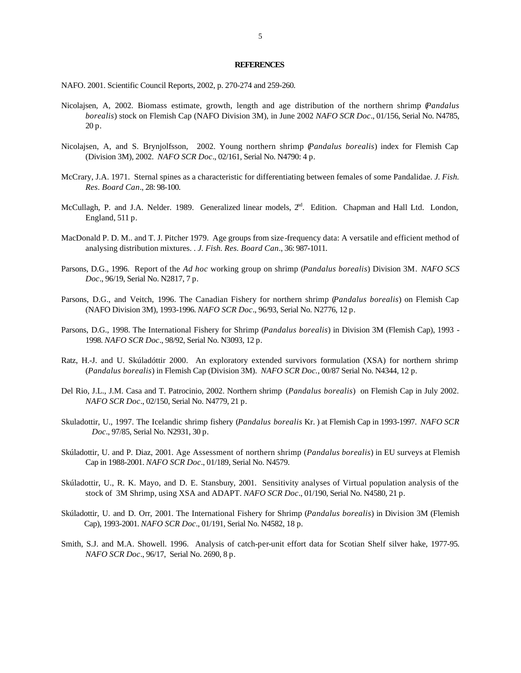#### **REFERENCES**

NAFO. 2001. Scientific Council Reports, 2002, p. 270-274 and 259-260.

- Nicolajsen, A, 2002. Biomass estimate, growth, length and age distribution of the northern shrimp (*Pandalus borealis*) stock on Flemish Cap (NAFO Division 3M), in June 2002 *NAFO SCR Doc*., 01/156, Serial No. N4785, 20 p.
- Nicolajsen, A, and S. Brynjolfsson, 2002. Young northern shrimp (*Pandalus borealis*) index for Flemish Cap (Division 3M), 2002. *NAFO SCR Doc*., 02/161, Serial No. N4790: 4 p.
- McCrary, J.A. 1971. Sternal spines as a characteristic for differentiating between females of some Pandalidae. *J. Fish. Res. Board Can*., 28: 98-100.
- McCullagh, P. and J.A. Nelder. 1989. Generalized linear models,  $2<sup>nd</sup>$ . Edition. Chapman and Hall Ltd. London, England, 511 p.
- MacDonald P. D. M.. and T. J. Pitcher 1979. Age groups from size-frequency data: A versatile and efficient method of analysing distribution mixtures. . *J. Fish. Res. Board Can*., 36: 987-1011.
- Parsons, D.G., 1996.Report of the *Ad hoc* working group on shrimp (*Pandalus borealis*) Division 3M. *NAFO SCS Doc*., 96/19, Serial No. N2817, 7 p.
- Parsons, D.G., and Veitch, 1996. The Canadian Fishery for northern shrimp (*Pandalus borealis*) on Flemish Cap (NAFO Division 3M), 1993-1996. *NAFO SCR Doc*., 96/93, Serial No. N2776, 12 p.
- Parsons, D.G., 1998. The International Fishery for Shrimp (*Pandalus borealis*) in Division 3M (Flemish Cap), 1993 1998. *NAFO SCR Doc*., 98/92, Serial No. N3093, 12 p.
- Ratz, H.-J. and U. Skúladóttir 2000. An exploratory extended survivors formulation (XSA) for northern shrimp (*Pandalus borealis*) in Flemish Cap (Division 3M). *NAFO SCR Doc.*, 00/87 Serial No. N4344, 12 p.
- Del Rio, J.L., J.M. Casa and T. Patrocinio, 2002. Northern shrimp (*Pandalus borealis*) on Flemish Cap in July 2002. *NAFO SCR Doc*., 02/150, Serial No. N4779, 21 p.
- Skuladottir, U., 1997. The Icelandic shrimp fishery (*Pandalus borealis* Kr. ) at Flemish Cap in 1993-1997. *NAFO SCR Doc*., 97/85, Serial No. N2931, 30 p.
- Skúladottir, U. and P. Diaz, 2001. Age Assessment of northern shrimp (*Pandalus borealis*) in EU surveys at Flemish Cap in 1988-2001. *NAFO SCR Doc*., 01/189, Serial No. N4579.
- Skúladottir, U., R. K. Mayo, and D. E. Stansbury, 2001. Sensitivity analyses of Virtual population analysis of the stock of 3M Shrimp, using XSA and ADAPT. *NAFO SCR Doc*., 01/190, Serial No. N4580, 21 p.
- Skúladottir, U. and D. Orr, 2001. The International Fishery for Shrimp (*Pandalus borealis*) in Division 3M (Flemish Cap), 1993-2001. *NAFO SCR Doc*., 01/191, Serial No. N4582, 18 p.
- Smith, S.J. and M.A. Showell. 1996. Analysis of catch-per-unit effort data for Scotian Shelf silver hake, 1977-95. *NAFO SCR Doc*., 96/17, Serial No. 2690, 8 p.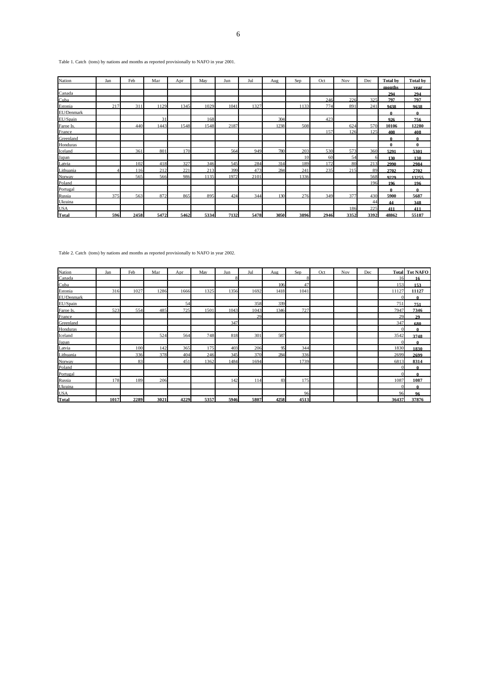Table 1. Catch (tons) by nations and months as reported provisionally to NAFO in year 2001.

| Nation       | Jan | Feb  | Mar  | Apr  | May  | Jun  | Jul  | Aug  | Sep             | Oct  | Nov  | Dec  | <b>Total by</b> | <b>Total by</b> |
|--------------|-----|------|------|------|------|------|------|------|-----------------|------|------|------|-----------------|-----------------|
|              |     |      |      |      |      |      |      |      |                 |      |      |      | months          | vear            |
| Canada       |     |      |      |      |      |      |      |      |                 |      |      |      | 294             | 294             |
| Cuba         |     |      |      |      |      |      |      |      |                 | 246  | 226  | 325  | 797             | 797             |
| Estonia      | 217 | 311  | 1129 | 1345 | 1029 | 1041 | 1327 |      | 1133            | 774  | 891  | 241  | 9438            | 9638            |
| EU/Denmark   |     |      |      |      |      |      |      |      |                 |      |      |      | 0               | 0               |
| EU/Spain     |     |      | 31   |      | 168  |      |      | 304  |                 | 423  |      |      | 926             | 756             |
| Faroe Is.    |     | 440  | 1443 | 1548 | 1548 | 2187 |      | 1238 | 508             |      | 624  | 570  | 10106           | 12280           |
| France       |     |      |      |      |      |      |      |      |                 | 157  | 126  | 125  | 408             | 408             |
| Greenland    |     |      |      |      |      |      |      |      |                 |      |      |      | 0               | 0               |
| Honduras     |     |      |      |      |      |      |      |      |                 |      |      |      | $\bf{0}$        | $\bf{0}$        |
| Iceland      |     | 361  | 801  | 170  |      | 564  | 949  | 780  | 203             | 530  | 573  | 360  | 5291            | 5301            |
| Japan        |     |      |      |      |      |      |      |      | 10 <sup>1</sup> | 60   | 54   |      | 130             | 130             |
| Latvia       |     | 102  | 418  | 327  | 346  | 545  | 284  | 314  | 189             | 172  | 80   | 213  | 2990            | 2984            |
| Lithuania    |     | 116  | 212  | 221  | 213  | 399  | 473  | 284  | 241             | 235  | 215  | 89   | 2702            | 2702            |
| Norway       |     | 565  | 566  | 986  | 1135 | 1972 | 2101 |      | 1336            |      |      | 568  | 9229            | 13255           |
| Poland       |     |      |      |      |      |      |      |      |                 |      |      | 196  | 196             | 196             |
| Portugal     |     |      |      |      |      |      |      |      |                 |      |      |      | 0               | 0               |
| Russia       | 375 | 563  | 872  | 865  | 895  | 424  | 344  | 130  | 276             | 349  | 377  | 430  | 5900            | 5687            |
| Ukraina      |     |      |      |      |      |      |      |      |                 |      |      | 44   | 44              | 348             |
| <b>USA</b>   |     |      |      |      |      |      |      |      |                 |      | 186  | 225  | 411             | 411             |
| <b>Total</b> | 596 | 2458 | 5472 | 5462 | 5334 | 7132 | 5478 | 3050 | 3896            | 2946 | 3352 | 3392 | 48862           | 55187           |

Table 2. Catch (tons) by nations and months as reported provisionally to NAFO in year 2002.

| Nation       | Jan  | Feb  | Mar  | Apr  | May  | Jun  | Jul  | Aug  | Sep  | Oct | Nov | Dec |                | <b>Total Tot NAFO</b> |
|--------------|------|------|------|------|------|------|------|------|------|-----|-----|-----|----------------|-----------------------|
| Canada       |      |      |      |      |      |      |      |      |      |     |     |     | 16             | 16                    |
| Cuba         |      |      |      |      |      |      |      | 106  | 47   |     |     |     | 153            | 153                   |
| Estonia      | 316  | 1027 | 1286 | 1666 | 1325 | 1356 | 1692 | 1418 | 1041 |     |     |     | 11127          | 11127                 |
| EU/Denmark   |      |      |      |      |      |      |      |      |      |     |     |     | $\Omega$       | 0                     |
| EU/Spain     |      |      |      | 54   |      |      | 358  | 339  |      |     |     |     | 751            | 751                   |
| Faroe Is.    | 523  | 554  | 485  | 725  | 1501 | 1043 | 1043 | 1346 | 727  |     |     |     | 7947           | 7346                  |
| France       |      |      |      |      |      |      | 29   |      |      |     |     |     | 29             | 29                    |
| Greenland    |      |      |      |      |      | 347  |      |      |      |     |     |     | 347            | 680                   |
| Honduras     |      |      |      |      |      |      |      |      |      |     |     |     | $\Omega$       | 0                     |
| Iceland      |      |      | 524  | 564  | 748  | 818  | 301  | 587  |      |     |     |     | 3542           | 3748                  |
| Japan        |      |      |      |      |      |      |      |      |      |     |     |     | $\Omega$       | 0                     |
| Latvia       |      | 100  | 142  | 365  | 175  | 403  | 206  | 95   | 344  |     |     |     | 1830           | 1830                  |
| Lithuania    |      | 336  | 378  | 404  | 246  | 345  | 370  | 284  | 336  |     |     |     | 2699           | 2699                  |
| Norway       |      | 83   |      | 451  | 1362 | 1484 | 1694 |      | 1739 |     |     |     | 6813           | 8314                  |
| Poland       |      |      |      |      |      |      |      |      |      |     |     |     | $\Omega$       | 0                     |
| Portugal     |      |      |      |      |      |      |      |      |      |     |     |     | $\Omega$       | 0                     |
| Russia       | 178  | 189  | 206  |      |      | 142  | 114  | 83   | 175  |     |     |     | 1087           | 1087                  |
| Ukraina      |      |      |      |      |      |      |      |      |      |     |     |     | $\overline{0}$ | 0                     |
| <b>USA</b>   |      |      |      |      |      |      |      |      | 96   |     |     |     | 96             | 96                    |
| <b>Total</b> | 1017 | 2289 | 3021 | 4229 | 5357 | 5946 | 5807 | 4258 | 4513 |     |     |     | 36437          | 37876                 |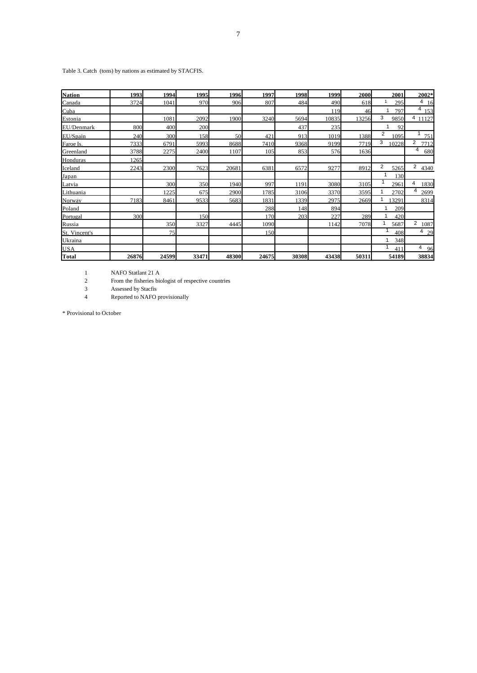Table 3. Catch (tons) by nations as estimated by STACFIS.

| <b>Nation</b> | 1993  | 1994  | 1995  | 1996  | 1997  | 1998  | 1999  | 2000  | 2001       | 2002*                  |
|---------------|-------|-------|-------|-------|-------|-------|-------|-------|------------|------------------------|
| Canada        | 3724  | 1041  | 970   | 906   | 807   | 484   | 490   | 618   | 295        | $\overline{4}$<br>16   |
| Cuba          |       |       |       |       |       |       | 119   | 46    | 797<br>1   | 4<br>153               |
| Estonia       |       | 1081  | 2092  | 1900  | 3240  | 5694  | 10835 | 13256 | 3<br>9850  | 4 11127                |
| EU/Denmark    | 800   | 400   | 200   |       |       | 437   | 235   |       | 1<br>92    |                        |
| EU/Spain      | 240   | 300   | 158   | 50    | 421   | 913   | 1019  | 1388  | 2<br>1095  | 751                    |
| Faroe Is.     | 7333  | 6791  | 5993  | 8688  | 7410  | 9368  | 9199  | 7719  | 3<br>10228 | $\overline{2}$<br>7712 |
| Greenland     | 3788  | 2275  | 2400  | 1107  | 105   | 853   | 576   | 1636  |            | 4<br>680               |
| Honduras      | 1265  |       |       |       |       |       |       |       |            |                        |
| Iceland       | 2243  | 2300  | 7623  | 20681 | 6381  | 6572  | 9277  | 8912  | 2<br>5265  | $\overline{2}$<br>4340 |
| Japan         |       |       |       |       |       |       |       |       | 130        |                        |
| Latvia        |       | 300   | 350   | 1940  | 997   | 1191  | 3080  | 3105  | 2961       | 4<br>1830              |
| Lithuania     |       | 1225  | 675   | 2900  | 1785  | 3106  | 3370  | 3595  | 2702       | 4<br>2699              |
| Norway        | 7183  | 8461  | 9533  | 5683  | 1831  | 1339  | 2975  | 2669  | 3291       | 8314                   |
| Poland        |       |       |       |       | 288   | 148   | 894   |       | 209        |                        |
| Portugal      | 300   |       | 150   |       | 170   | 203   | 227   | 289   | 420        |                        |
| Russia        |       | 350   | 3327  | 4445  | 1090  |       | 1142  | 7078  | 5687       | 2<br>1087              |
| St. Vincent's |       | 75    |       |       | 150   |       |       |       | 408        | $4\frac{29}{ }$        |
| Ukraina       |       |       |       |       |       |       |       |       | 348        |                        |
| <b>USA</b>    |       |       |       |       |       |       |       |       | 411        | 4<br>96                |
| <b>Total</b>  | 26876 | 24599 | 33471 | 48300 | 24675 | 30308 | 43438 | 50311 | 54189      | 38834                  |

1 NAFO Statlant 21 A

2 From the fisheries biologist of respective countries

3 Assessed by Stacfis<br>4 Reported to NAFO 1

Reported to NAFO provisionally

\* Provisional to October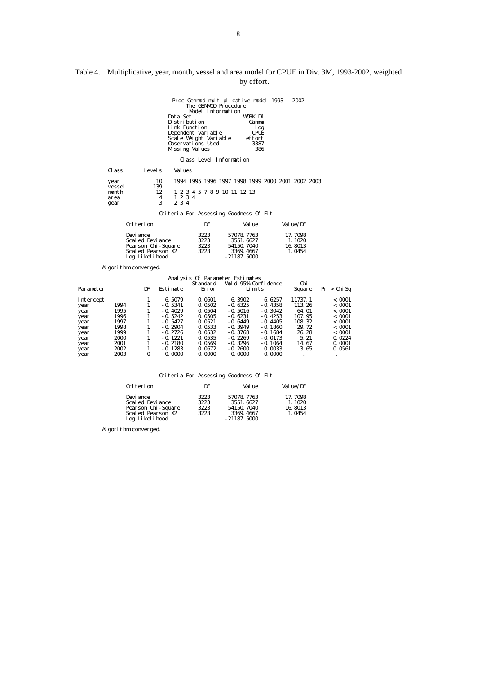| Table 4. Multiplicative, year, month, vessel and area model for CPUE in Div. 3M, 1993-2002, weighted |  |
|------------------------------------------------------------------------------------------------------|--|
| by effort.                                                                                           |  |

Proc Genmod multiplicative model 1993 - 2002<br>
The GENMOD Procedure<br>
Model Information<br>
Dustribution Gamma<br>
Link Function<br>
Link Function<br>
Link Function<br>
Dependent Variable<br>
Scale Weight Variable<br>
Scale Weight Variable<br>
Obse Class Level Information Class Levels Values  $\begin{array}{llll} 10 & 1994 & 1995 & 1996 & 1997 & 1998 & 1999 & 2000 & 2001 & 2002 & 2003 \\ 139 & & 12 & & 1 & 2 & 3 & 4 & 5 & 7 & 8 & 9 & 10 & 11 & 12 & 13 \\ & 4 & & 1 & 2 & 3 & 4 & & & & & \\ & 3 & & 2 & 3 & 4 & & & & & \\ \end{array}$  vessel 139 month 12 1 2 3 4 5 7 8 9 10 11 12 13<br>area 4 1 2 3 4 gear 3 2 3 4

Criteria For Assessing Goodness Of Fit

| Criterion          | DF   | Val ue        | Val ue/DF |
|--------------------|------|---------------|-----------|
| Devi ance          | 3223 | 57078.7763    | 17.7098   |
| Scal ed Devi ance  | 3223 | 3551.6627     | 1.1020    |
| Pearson Chi-Square | 3223 | 54150, 7040   | 16.8013   |
| Scal ed Pearson X2 | 3223 | 3369.4667     | 1.0454    |
| Log Likelihood     |      | $-21187.5000$ |           |

Al gorithm converged.

|           |      |    |           |                 | Analysis Of Parameter Estimates |           |         |             |
|-----------|------|----|-----------|-----------------|---------------------------------|-----------|---------|-------------|
|           |      |    |           | <b>Standard</b> | Wald 95% Confidence             |           | Chi -   |             |
| Parameter |      | DF | Estimate  | Error           |                                 | Limits    | Square  | Pr > Chi Sq |
| Intercept |      |    | 6.5079    | 0.0601          | 6.3902                          | 6.6257    | 11737.1 | < 0.001     |
| year      | 1994 |    | $-0.5341$ | 0.0502          | $-0.6325$                       | $-0.4358$ | 113.26  | < 0.001     |
| year      | 1995 |    | $-0.4029$ | 0.0504          | $-0.5016$                       | $-0.3042$ | 64.01   | < 0.001     |
| year      | 1996 |    | $-0.5242$ | 0.0505          | $-0.6231$                       | $-0.4253$ | 107.95  | < 0.001     |
| year      | 1997 |    | $-0.5427$ | 0.0521          | $-0.6449$                       | $-0.4405$ | 108.32  | < 0.001     |
| year      | 1998 |    | $-0.2904$ | 0.0533          | $-0.3949$                       | $-0.1860$ | 29.72   | < 0.001     |
| year      | 1999 |    | $-0.2726$ | 0.0532          | $-0.3768$                       | $-0.1684$ | 26.28   | < 0.001     |
| year      | 2000 |    | $-0.1221$ | 0.0535          | $-0.2269$                       | $-0.0173$ | 5.21    | 0.0224      |
| year      | 2001 |    | $-0.2180$ | 0.0569          | $-0.3296$                       | $-0.1064$ | 14.67   | 0.0001      |
| year      | 2002 |    | $-0.1283$ | 0.0672          | $-0.2600$                       | 0.0033    | 3.65    | 0.0561      |
| year      | 2003 | 0  | 0.0000    | 0.0000          | 0.0000                          | 0.0000    | ٠       | $\cdot$     |

Criteria For Assessing Goodness Of Fit

| Criterion          | DF   | Val ue        | Val ue/DF |
|--------------------|------|---------------|-----------|
| Devi ance          | 3223 | 57078.7763    | 17.7098   |
| Scal ed Devi ance  | 3223 | 3551.6627     | 1.1020    |
|                    | 3223 | 54150, 7040   | 16.8013   |
| Scal ed Pearson X2 | 3223 | 3369.4667     | 1.0454    |
| Log Likelihood     |      | $-21187.5000$ |           |
| Pearson Chi-Square |      |               |           |

Al gorithm converged.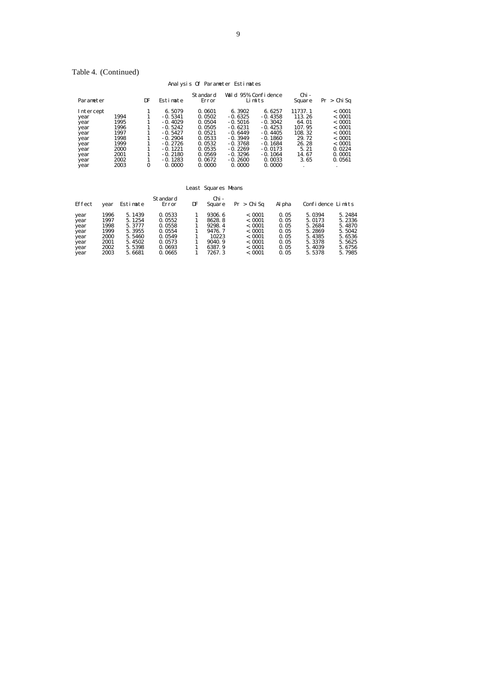# Table 4. (Continued)

# Analysis Of Parameter Estimates

| Parameter |      | DF | Estimate  | Standard<br>Error | Wald 95% Confidence | Limits    | Chi -<br>Square | Pr > Chi Sq |
|-----------|------|----|-----------|-------------------|---------------------|-----------|-----------------|-------------|
| Intercept |      |    | 6.5079    | 0.0601            | 6.3902              | 6.6257    | 11737.1         | < 0.001     |
| year      | 1994 |    | $-0.5341$ | 0.0502            | $-0.6325$           | $-0.4358$ | 113.26          | < 0.001     |
| year      | 1995 |    | $-0.4029$ | 0.0504            | $-0.5016$           | $-0.3042$ | 64.01           | < 0.001     |
| year      | 1996 |    | $-0.5242$ | 0.0505            | $-0.6231$           | $-0.4253$ | 107.95          | < 0.001     |
| year      | 1997 |    | $-0.5427$ | 0.0521            | $-0.6449$           | $-0.4405$ | 108.32          | < 0.001     |
| year      | 1998 |    | $-0.2904$ | 0.0533            | $-0.3949$           | $-0.1860$ | 29.72           | < 0.001     |
| year      | 1999 |    | $-0.2726$ | 0.0532            | $-0.3768$           | $-0.1684$ | 26.28           | < 0.001     |
| year      | 2000 |    | $-0.1221$ | 0.0535            | $-0.2269$           | $-0.0173$ | 5.21            | 0.0224      |
| year      | 2001 |    | $-0.2180$ | 0.0569            | $-0.3296$           | $-0.1064$ | 14.67           | 0.0001      |
| year      | 2002 |    | $-0.1283$ | 0.0672            | $-0.2600$           | 0.0033    | 3.65            | 0.0561      |
| year      | 2003 | 0  | 0.0000    | 0.0000            | 0.0000              | 0.0000    |                 |             |

#### Least Squares Means

| Effect | year | Estimate | Standard<br>Error | DF | Chi -<br>Square | Pr > Chi Sa | Al pha | Confidence Limits |        |
|--------|------|----------|-------------------|----|-----------------|-------------|--------|-------------------|--------|
| year   | 1996 | 5.1439   | 0.0533            |    | 9306.6          | < 0.001     | 0.05   | 5.0394            | 5.2484 |
| year   | 1997 | 5.1254   | 0.0552            |    | 8628.8          | < 0.001     | 0.05   | 5.0173            | 5.2336 |
| year   | 1998 | 5.3777   | 0.0558            |    | 9298.4          | < 0.001     | 0.05   | 5.2684            | 5.4870 |
| year   | 1999 | 5.3955   | 0.0554            |    | 9476.7          | < 0.001     | 0.05   | 5.2869            | 5.5042 |
| year   | 2000 | 5.5460   | 0.0549            |    | 10223           | < 0.001     | 0.05   | 5.4385            | 5.6536 |
| year   | 2001 | 5.4502   | 0.0573            |    | 9040.9          | < 0.001     | 0.05   | 5.3378            | 5.5625 |
| year   | 2002 | 5.5398   | 0.0693            |    | 6387.9          | < 0.001     | 0.05   | 5.4039            | 5.6756 |
| year   | 2003 | 5.6681   | 0.0665            |    | 7267.3          | < 0.001     | 0.05   | 5.5378            | 5.7985 |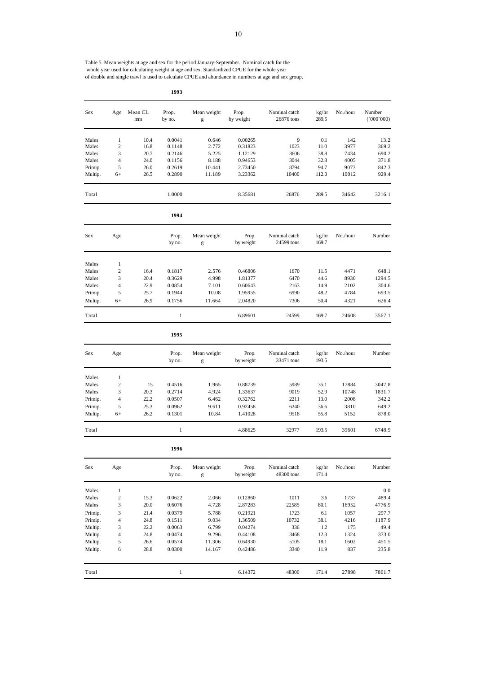Table 5. Mean weights at age and sex for the period January-September. Nominal catch for the whole year used for calculating weight at age and sex. Standardized CPUE for the whole year of double and single trawl is used to calculate CPUE and abundance in numbers at age and sex group.

**1993**

| Sex                | Age                 | Mean CL<br>mm | Prop.<br>by no.  | Mean weight<br>$\mathbf{g}% _{T}=\mathbf{g}_{T}=\mathbf{g}_{T}=\mathbf{g}_{T}=\mathbf{g}_{T}=\mathbf{g}_{T}=\mathbf{g}_{T}=\mathbf{g}_{T}=\mathbf{g}_{T}=\mathbf{g}_{T}=\mathbf{g}_{T}=\mathbf{g}_{T}=\mathbf{g}_{T}=\mathbf{g}_{T}=\mathbf{g}_{T}=\mathbf{g}_{T}=\mathbf{g}_{T}=\mathbf{g}_{T}=\mathbf{g}_{T}=\mathbf{g}_{T}=\mathbf{g}_{T}=\mathbf{g}_{T}=\mathbf{g}_{T}=\mathbf{g}_{T}=\mathbf{g}_{T}=\mathbf{g}_{T}=\mathbf{g}_{T}=\math$ | Prop.<br>by weight | Nominal catch<br>26876 tons | kg/hr<br>289.5 | No./hour     | Number<br>(000'000) |
|--------------------|---------------------|---------------|------------------|-----------------------------------------------------------------------------------------------------------------------------------------------------------------------------------------------------------------------------------------------------------------------------------------------------------------------------------------------------------------------------------------------------------------------------------------------|--------------------|-----------------------------|----------------|--------------|---------------------|
| Males              | $\mathbf{1}$        | 10.4          | 0.0041           | 0.646                                                                                                                                                                                                                                                                                                                                                                                                                                         | 0.00265            | 9                           | 0.1            | 142          | 13.2                |
| Males              | $\overline{c}$      | 16.8          | 0.1148           | 2.772                                                                                                                                                                                                                                                                                                                                                                                                                                         | 0.31823            | 1023                        | 11.0           | 3977         | 369.2               |
| Males              | 3                   | 20.7          | 0.2146           | 5.225                                                                                                                                                                                                                                                                                                                                                                                                                                         | 1.12129            | 3606                        | 38.8           | 7434         | 690.2               |
| Males<br>Primip.   | $\overline{4}$<br>5 | 24.0<br>26.0  | 0.1156<br>0.2619 | 8.188<br>10.441                                                                                                                                                                                                                                                                                                                                                                                                                               | 0.94653            | 3044<br>8794                | 32.8<br>94.7   | 4005<br>9073 | 371.8<br>842.3      |
| Multip.            | $6+$                | 26.5          | 0.2890           | 11.189                                                                                                                                                                                                                                                                                                                                                                                                                                        | 2.73450<br>3.23362 | 10400                       | 112.0          | 10012        | 929.4               |
| Total              |                     |               | 1.0000           |                                                                                                                                                                                                                                                                                                                                                                                                                                               | 8.35681            | 26876                       | 289.5          | 34642        | 3216.1              |
|                    |                     |               | 1994             |                                                                                                                                                                                                                                                                                                                                                                                                                                               |                    |                             |                |              |                     |
| Sex                | Age                 |               | Prop.<br>by no.  | Mean weight<br>$\mathbf{g}% _{T}=\mathbf{g}_{T}=\mathbf{g}_{T}=\mathbf{g}_{T}=\mathbf{g}_{T}=\mathbf{g}_{T}=\mathbf{g}_{T}=\mathbf{g}_{T}=\mathbf{g}_{T}=\mathbf{g}_{T}=\mathbf{g}_{T}=\mathbf{g}_{T}=\mathbf{g}_{T}=\mathbf{g}_{T}=\mathbf{g}_{T}=\mathbf{g}_{T}=\mathbf{g}_{T}=\mathbf{g}_{T}=\mathbf{g}_{T}=\mathbf{g}_{T}=\mathbf{g}_{T}=\mathbf{g}_{T}=\mathbf{g}_{T}=\mathbf{g}_{T}=\mathbf{g}_{T}=\mathbf{g}_{T}=\mathbf{g}_{T}=\math$ | Prop.<br>by weight | Nominal catch<br>24599 tons | kg/hr<br>169.7 | No./hour     | Number              |
| Males              | $\mathbf{1}$        |               |                  |                                                                                                                                                                                                                                                                                                                                                                                                                                               |                    |                             |                |              |                     |
| Males              | $\overline{c}$      | 16.4          | 0.1817           | 2.576                                                                                                                                                                                                                                                                                                                                                                                                                                         | 0.46806            | 1670                        | 11.5           | 4471         | 648.1               |
| Males              | 3                   | 20.4          | 0.3629           | 4.998                                                                                                                                                                                                                                                                                                                                                                                                                                         | 1.81377            | 6470                        | 44.6           | 8930         | 1294.5              |
| Males              | 4                   | 22.9          | 0.0854           | 7.101                                                                                                                                                                                                                                                                                                                                                                                                                                         | 0.60643            | 2163                        | 14.9           | 2102         | 304.6               |
| Primip.            | 5                   | 25.7          | 0.1944           | 10.08                                                                                                                                                                                                                                                                                                                                                                                                                                         | 1.95955            | 6990                        | 48.2           | 4784         | 693.5               |
| Multip.            | $6+$                | 26.9          | 0.1756           | 11.664                                                                                                                                                                                                                                                                                                                                                                                                                                        | 2.04820            | 7306                        | 50.4           | 4321         | 626.4               |
| Total              |                     |               | $\mathbf{1}$     |                                                                                                                                                                                                                                                                                                                                                                                                                                               | 6.89601            | 24599                       | 169.7          | 24608        | 3567.1              |
|                    |                     |               | 1995             |                                                                                                                                                                                                                                                                                                                                                                                                                                               |                    |                             |                |              |                     |
| Sex                | Age                 |               | Prop.<br>by no.  | Mean weight<br>$\mathbf{g}% _{T}=\mathbf{g}_{T}=\mathbf{g}_{T}=\mathbf{g}_{T}=\mathbf{g}_{T}=\mathbf{g}_{T}=\mathbf{g}_{T}=\mathbf{g}_{T}=\mathbf{g}_{T}=\mathbf{g}_{T}=\mathbf{g}_{T}=\mathbf{g}_{T}=\mathbf{g}_{T}=\mathbf{g}_{T}=\mathbf{g}_{T}=\mathbf{g}_{T}=\mathbf{g}_{T}=\mathbf{g}_{T}=\mathbf{g}_{T}=\mathbf{g}_{T}=\mathbf{g}_{T}=\mathbf{g}_{T}=\mathbf{g}_{T}=\mathbf{g}_{T}=\mathbf{g}_{T}=\mathbf{g}_{T}=\mathbf{g}_{T}=\math$ | Prop.<br>by weight | Nominal catch<br>33471 tons | kg/hr<br>193.5 | No./hour     | Number              |
| Males              | $\mathbf{1}$        |               |                  |                                                                                                                                                                                                                                                                                                                                                                                                                                               |                    |                             |                |              |                     |
| Males              | $\overline{c}$      | 15            | 0.4516           | 1.965                                                                                                                                                                                                                                                                                                                                                                                                                                         | 0.88739            | 5989                        | 35.1           | 17884        | 3047.8              |
| Males              | 3                   | 20.3          | 0.2714           | 4.924                                                                                                                                                                                                                                                                                                                                                                                                                                         | 1.33637            | 9019                        | 52.9           | 10748        | 1831.7              |
| Primip.            | 4                   | 22.2          | 0.0507           | 6.462                                                                                                                                                                                                                                                                                                                                                                                                                                         | 0.32762            | 2211                        | 13.0           | 2008         | 342.2               |
| Primip.<br>Multip. | 5<br>$6+$           | 25.3<br>26.2  | 0.0962<br>0.1301 | 9.611<br>10.84                                                                                                                                                                                                                                                                                                                                                                                                                                | 0.92458<br>1.41028 | 6240<br>9518                | 36.6<br>55.8   | 3810<br>5152 | 649.2<br>878.0      |
| Total              |                     |               | $\mathbf{1}$     |                                                                                                                                                                                                                                                                                                                                                                                                                                               | 4.88625            | 32977                       | 193.5          | 39601        | 6748.9              |
|                    |                     |               | 1996             |                                                                                                                                                                                                                                                                                                                                                                                                                                               |                    |                             |                |              |                     |
| Sex                | Age                 |               | Prop.<br>by no.  | Mean weight<br>g                                                                                                                                                                                                                                                                                                                                                                                                                              | Prop.<br>by weight | Nominal catch<br>48300 tons | kg/hr<br>171.4 | No./hour     | Number              |
| Males              | $\mathbf{1}$        |               |                  |                                                                                                                                                                                                                                                                                                                                                                                                                                               |                    |                             |                |              | 0.0                 |
| Males              | $\boldsymbol{2}$    | 15.3          | 0.0622           | 2.066                                                                                                                                                                                                                                                                                                                                                                                                                                         | 0.12860            | 1011                        | 3.6            | 1737         | 489.4               |
| Males              | 3                   | 20.0          | 0.6076           | 4.728                                                                                                                                                                                                                                                                                                                                                                                                                                         | 2.87283            | 22585                       | 80.1           | 16952        | 4776.9              |
| Primip.            | 3                   | 21.4          | 0.0379           | 5.788                                                                                                                                                                                                                                                                                                                                                                                                                                         | 0.21921            | 1723                        | 6.1            | 1057         | 297.7               |
| Primip.            | 4                   | 24.8          | 0.1511           | 9.034                                                                                                                                                                                                                                                                                                                                                                                                                                         | 1.36509<br>0.04274 | 10732                       | 38.1           | 4216         | 1187.9              |
| Multip.<br>Multip. | 3<br>4              | 22.2<br>24.8  | 0.0063<br>0.0474 | 6.799<br>9.296                                                                                                                                                                                                                                                                                                                                                                                                                                | 0.44108            | 336<br>3468                 | 1.2<br>12.3    | 175<br>1324  | 49.4<br>373.0       |
| Multip.            | 5                   | 26.6          | 0.0574           | 11.306                                                                                                                                                                                                                                                                                                                                                                                                                                        | 0.64930            | 5105                        | 18.1           | 1602         | 451.5               |
| Multip.            | 6                   | 28.8          | 0.0300           | 14.167                                                                                                                                                                                                                                                                                                                                                                                                                                        | 0.42486            | 3340                        | 11.9           | 837          | 235.8               |
| Total              |                     |               | $\mathbf{1}$     |                                                                                                                                                                                                                                                                                                                                                                                                                                               | 6.14372            | 48300                       | 171.4          | 27898        | 7861.7              |
|                    |                     |               |                  |                                                                                                                                                                                                                                                                                                                                                                                                                                               |                    |                             |                |              |                     |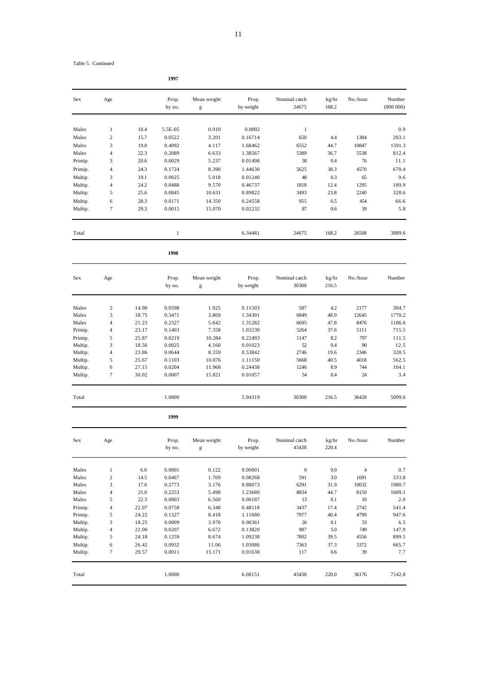|  |  | Table 5. Continued |
|--|--|--------------------|
|--|--|--------------------|

| Sex                | Age                     |                | Prop.<br>by no.  | Mean weight     | Prop.<br>by weight | Nominal catch<br>24675 | kg/hr<br>168.2 | No./hour       | Number<br>(000000) |
|--------------------|-------------------------|----------------|------------------|-----------------|--------------------|------------------------|----------------|----------------|--------------------|
|                    |                         |                |                  | g               |                    |                        |                |                |                    |
| Males              | $\mathbf{1}$            | 10.4           | 5.5E-05          | 0.910           | 0.0002             | $\mathbf{1}$           |                |                | 0.9                |
| Males              | $\overline{c}$          | 15.7           | 0.0522           | 3.201           | 0.16714            | 650                    | 4.4            | 1384           | 203.1              |
| Males              | 3                       | 19.0           | 0.4092           | 4.117           | 1.68462            | 6552                   | 44.7           | 10847          | 1591.3             |
| Males              | $\overline{4}$          | 22.3           | 0.2089           | 6.633           | 1.38567            | 5389                   | 36.7           | 5538           | 812.4              |
| Primip.            | 3                       | 20.6           | 0.0029           | 5.237           | 0.01498            | 58                     | 0.4            | 76             | 11.1               |
| Primip.            | $\overline{4}$          | 24.3           | 0.1724           | 8.390           | 1.44630            | 5625                   | 38.3           | 4570           | 670.4              |
| Multip.            | 3                       | 19.1           | 0.0025           | 5.018           | 0.01240            | 48                     | 0.3            | 65             | 9.6                |
| Multip.            | $\overline{4}$          | 24.2           | 0.0488           | 9.570           | 0.46737            | 1818                   | 12.4           | 1295           | 189.9              |
| Multip.            | 5                       | 25.6           | 0.0845           | 10.631          | 0.89822            | 3493                   | 23.8           | 2240           | 328.6              |
| Multip.            | 6                       | 28.3           | 0.0171           | 14.350          | 0.24558            | 955                    | 6.5            | 454            | 66.6               |
| Multip.            | $\tau$                  | 29.3           | 0.0015           | 15.070          | 0.02232            | 87                     | 0.6            | 39             | 5.8                |
|                    |                         |                |                  |                 |                    |                        |                |                |                    |
| Total              |                         |                | $\mathbf{1}$     |                 | 6.34481            | 24675                  | 168.2          | 26508          | 3889.6             |
|                    |                         |                | 1998             |                 |                    |                        |                |                |                    |
| Sex                | Age                     |                | Prop.            | Mean weight     | Prop.              | Nominal catch          | kg/hr          | No./hour       | Number             |
|                    |                         |                | by no.           | g               | by weight          | 30308                  | 216.5          |                |                    |
| Males              | $\overline{\mathbf{c}}$ | 14.90          | 0.0598           | 1.925           | 0.11503            | 587                    | 4.2            | 2177           | 304.7              |
| Males              | 3                       | 18.75          | 0.3471           | 3.869           | 1.34301            | 6849                   | 48.9           | 12645          | 1770.2             |
| Males              | $\overline{4}$          | 21.23          | 0.2327           | 5.642           | 1.31282            | 6695                   | 47.8           | 8476           | 1186.6             |
| Primip.            | $\overline{4}$          | 23.17          | 0.1403           | 7.358           | 1.03230            | 5264                   | 37.6           | 5111           | 715.5              |
| Primip.            | 5                       | 25.87          | 0.0219           | 10.284          | 0.22493            | 1147                   | 8.2            | 797            | 111.5              |
| Multip.            | 3                       | 18.56          | 0.0025           | 4.160           | 0.01023            | 52                     | 0.4            | 90             | 12.5               |
| Multip.            | $\overline{4}$          | 23.86          | 0.0644           | 8.359           | 0.53842            | 2746                   | 19.6           | 2346           | 328.5              |
| Multip.            | 5                       | 25.67          | 0.1103           | 10.076          | 1.11150            | 5668                   | 40.5           | 4018           | 562.5              |
| Multip.            | 6                       | 27.15          | 0.0204           | 11.968          | 0.24438            | 1246                   | 8.9            | 744            | 104.1              |
| Multip.            | $\tau$                  | 30.02          | 0.0007           | 15.821          | 0.01057            | 54                     | 0.4            | 24             | 3.4                |
| Total              |                         |                | 1.0000           |                 | 5.94319            | 30308                  | 216.5          | 36428          | 5099.6             |
|                    |                         |                | 1999             |                 |                    |                        |                |                |                    |
| Sex                | Age                     |                | Prop.            | Mean weight     | Prop.              | Nominal catch          | kg/hr          | No./hour       | Number             |
|                    |                         |                | by no.           | g               | by weight          | 43438                  | 220.4          |                |                    |
| Males              | $\mathbf{1}$            | $6.0\,$        | 0.0001           | 0.122           | 0.00001            | $\boldsymbol{0}$       | $0.0\,$        | $\overline{4}$ | 0.7                |
| Males              | $\sqrt{2}$              | 14.5           | 0.0467           | 1.769           | 0.08268            | 591                    | 3.0            | 1691           | 333.8              |
| Males              | 3                       | 17.6           | 0.2773           | 3.176           | 0.88073            | 6291                   | 31.9           | 10032          | 1980.7             |
| Males              | $\overline{4}$          | 21.0           | 0.2253           | 5.490           | 1.23680            | 8834                   | 44.7           | 8150           | 1609.1             |
| Males              | 5                       | 22.3           | 0.0003           | 6.560           | 0.00187            | 13                     | 0.1            | 10             | 2.0                |
| Primip.            | $\overline{4}$          | 22.07          | 0.0758           | 6.348           | 0.48118            | 3437                   | 17.4           | 2742           | 541.4              |
| Primip.            | 5                       | 24.22          | 0.1327           | 8.418           | 1.11680            | 7977                   | 40.4           | 4799           | 947.6              |
| Multip.            | 3                       | 18.25          | 0.0009           | 3.970           | 0.00361            | 26                     | 0.1            | 33             | 6.5                |
| Multip.            | $\overline{4}$          | 22.00          | 0.0207           | 6.672           | 0.13820            | 987                    | 5.0            | 749            | 147.9              |
| Multip.            | 5                       | 24.18          | 0.1259           | 8.674           | 1.09238            | 7802                   | 39.5           | 4556           | 899.5              |
| Multip.<br>Multip. | 6<br>$\tau$             | 26.42<br>29.57 | 0.0932<br>0.0011 | 11.06<br>15.171 | 1.03086<br>0.01638 | 7363<br>117            | 37.3<br>0.6    | 3372<br>39     | 665.7<br>7.7       |
|                    |                         |                |                  |                 |                    |                        |                |                |                    |
| Total              |                         |                | 1.0000           |                 | 6.08151            | 43438                  | 220.0          | 36176          | 7142.8             |

**1997**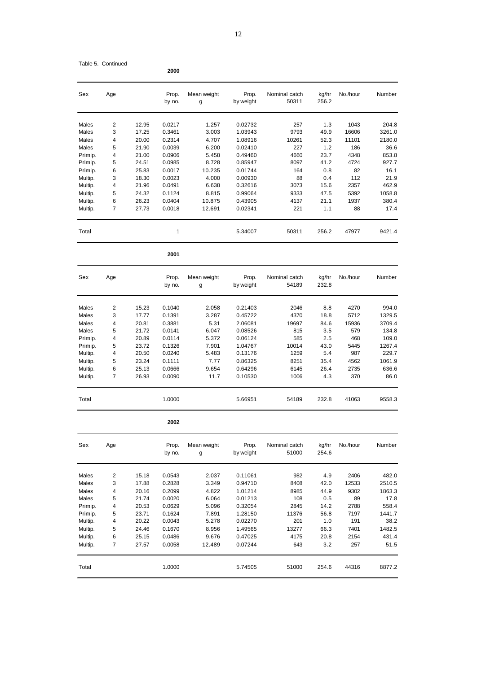|         |     |       | 2000            |                  |                    |                        |                |          |        |
|---------|-----|-------|-----------------|------------------|--------------------|------------------------|----------------|----------|--------|
| Sex     | Age |       | Prop.<br>by no. | Mean weight<br>g | Prop.<br>by weight | Nominal catch<br>50311 | kg/hr<br>256.2 | No./hour | Number |
| Males   | 2   | 12.95 | 0.0217          | 1.257            | 0.02732            | 257                    | 1.3            | 1043     | 204.8  |
| Males   | 3   | 17.25 | 0.3461          | 3.003            | 1.03943            | 9793                   | 49.9           | 16606    | 3261.0 |
| Males   | 4   | 20.00 | 0.2314          | 4.707            | 1.08916            | 10261                  | 52.3           | 11101    | 2180.0 |
| Males   | 5   | 21.90 | 0.0039          | 6.200            | 0.02410            | 227                    | 1.2            | 186      | 36.6   |
| Primip. | 4   | 21.00 | 0.0906          | 5.458            | 0.49460            | 4660                   | 23.7           | 4348     | 853.8  |
| Primip. | 5   | 24.51 | 0.0985          | 8.728            | 0.85947            | 8097                   | 41.2           | 4724     | 927.7  |
| Primip. | 6   | 25.83 | 0.0017          | 10.235           | 0.01744            | 164                    | 0.8            | 82       | 16.1   |
| Multip. | 3   | 18.30 | 0.0023          | 4.000            | 0.00930            | 88                     | 0.4            | 112      | 21.9   |
| Multip. | 4   | 21.96 | 0.0491          | 6.638            | 0.32616            | 3073                   | 15.6           | 2357     | 462.9  |
| Multip. | 5   | 24.32 | 0.1124          | 8.815            | 0.99064            | 9333                   | 47.5           | 5392     | 1058.8 |
| Multip. | 6   | 26.23 | 0.0404          | 10.875           | 0.43905            | 4137                   | 21.1           | 1937     | 380.4  |
| Multip. | 7   | 27.73 | 0.0018          | 12.691           | 0.02341            | 221                    | 1.1            | 88       | 17.4   |
| Total   |     |       | 1               |                  | 5.34007            | 50311                  | 256.2          | 47977    | 9421.4 |
|         |     |       | 2001            |                  |                    |                        |                |          |        |
| Sex     | Age |       | Prop.           | Mean weight      | Prop.              | Nominal catch          | kg/hr          | No./hour | Number |
|         |     |       | by no.          | g                | by weight          | 54189                  | 232.8          |          |        |
| Males   | 2   | 15.23 | 0.1040          | 2.058            | 0.21403            | 2046                   | 8.8            | 4270     | 994.0  |
| Males   | 3   | 17.77 | 0.1391          | 3.287            | 0.45722            | 4370                   | 18.8           | 5712     | 1329.5 |
| Males   | 4   | 20.81 | 0.3881          | 5.31             | 2.06081            | 19697                  | 84.6           | 15936    | 3709.4 |
| Males   | 5   | 21.72 | 0.0141          | 6.047            | 0.08526            | 815                    | 3.5            | 579      | 134.8  |
| Primip. | 4   | 20.89 | 0.0114          | 5.372            | 0.06124            | 585                    | 2.5            | 468      | 109.0  |
| Primip. | 5   | 23.72 | 0.1326          | 7.901            | 1.04767            | 10014                  | 43.0           | 5445     | 1267.4 |
| Multip. | 4   | 20.50 | 0.0240          | 5.483            | 0.13176            | 1259                   | 5.4            | 987      | 229.7  |
| Multip. | 5   | 23.24 | 0.1111          | 7.77             | 0.86325            | 8251                   | 35.4           | 4562     | 1061.9 |
| Multip. | 6   | 25.13 | 0.0666          | 9.654            | 0.64296            | 6145                   | 26.4           | 2735     | 636.6  |
| Multip. | 7   | 26.93 | 0.0090          | 11.7             | 0.10530            | 1006                   | 4.3            | 370      | 86.0   |
| Total   |     |       | 1.0000          |                  | 5.66951            | 54189                  | 232.8          | 41063    | 9558.3 |
|         |     |       | 2002            |                  |                    |                        |                |          |        |
| Sex     | Age |       | Prop.<br>by no. | Mean weight<br>g | Prop.<br>by weight | Nominal catch<br>51000 | kg/hr<br>254.6 | No./hour | Number |
| Males   | 2   | 15.18 | 0.0543          | 2.037            | 0.11061            | 982                    | 4.9            | 2406     | 482.0  |
| Males   | 3   | 17.88 | 0.2828          | 3.349            | 0.94710            | 8408                   | 42.0           | 12533    | 2510.5 |
| Males   | 4   | 20.16 | 0.2099          | 4.822            | 1.01214            | 8985                   | 44.9           | 9302     | 1863.3 |
| Males   | 5   | 21.74 | 0.0020          | 6.064            | 0.01213            | 108                    | 0.5            | 89       | 17.8   |
| Primip. | 4   | 20.53 | 0.0629          | 5.096            | 0.32054            | 2845                   | 14.2           | 2788     | 558.4  |
| Primip. | 5   | 23.71 | 0.1624          | 7.891            | 1.28150            | 11376                  | 56.8           | 7197     | 1441.7 |
| Multip. | 4   | 20.22 | 0.0043          | 5.278            | 0.02270            | 201                    | 1.0            | 191      | 38.2   |
| Multip. | 5   | 24.46 | 0.1670          | 8.956            | 1.49565            | 13277                  | 66.3           | 7401     | 1482.5 |
| Multip. | 6   | 25.15 | 0.0486          | 9.676            | 0.47025            | 4175                   | 20.8           | 2154     | 431.4  |
| Multip. | 7   | 27.57 | 0.0058          | 12.489           | 0.07244            | 643                    | 3.2            | 257      | 51.5   |
| Total   |     |       | 1.0000          |                  | 5.74505            | 51000                  | 254.6          | 44316    | 8877.2 |

Table 5. Continued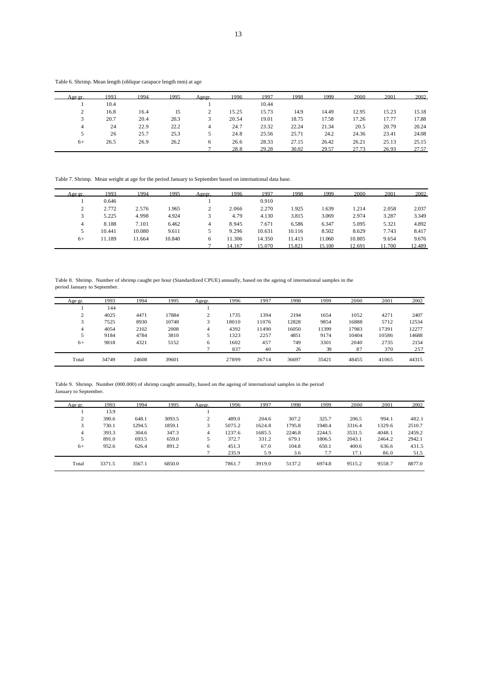Table 6. Shrimp. Mean length (oblique carapace length mm) at age

| Age gr.     | 1993 | 1994 | 1995 | Agegr. | 1996  | 1997  | 1998  | 1999  | 2000  | 2001  | 2002  |
|-------------|------|------|------|--------|-------|-------|-------|-------|-------|-------|-------|
|             | 10.4 |      |      |        |       | 10.44 |       |       |       |       |       |
| $\sim$<br>∠ | 16.8 | 16.4 | 15   | ∠      | 15.25 | 15.73 | 14.9  | 14.49 | 12.95 | 15.23 | 15.18 |
|             | 20.7 | 20.4 | 20.3 | 3      | 20.54 | 19.01 | 18.75 | 17.58 | 17.26 | 17.77 | 17.88 |
| 4           | 24   | 22.9 | 22.2 | 4      | 24.7  | 23.32 | 22.24 | 21.34 | 20.5  | 20.79 | 20.24 |
|             | 26   | 25.7 | 25.3 |        | 24.8  | 25.56 | 25.71 | 24.2  | 24.36 | 23.41 | 24.08 |
| $6+$        | 26.5 | 26.9 | 26.2 | 6      | 26.6  | 28.33 | 27.15 | 26.42 | 26.21 | 25.13 | 25.15 |
|             |      |      |      |        | 28.8  | 29.28 | 30.02 | 29.57 | 27.73 | 26.93 | 27.57 |

Table 7. Shrimp. Mean weight at age for the period January to September based on international data base.

| Age or. | 1993   | 1994   | 1995   | Agegr. | 1996   | 1997   | 1998   | 1999   | 2000   | 2001   | 2002   |
|---------|--------|--------|--------|--------|--------|--------|--------|--------|--------|--------|--------|
|         | 0.646  |        |        |        |        | 0.910  |        |        |        |        |        |
|         | 2.772  | 2.576  | 1.965  |        | 2.066  | 2.270  | 1.925  | 1.639  | 1.214  | 2.058  | 2.037  |
|         | 5.225  | 4.998  | 4.924  |        | 4.79   | 4.130  | 3.815  | 3.069  | 2.974  | 3.287  | 3.349  |
| 4       | 8.188  | 7.101  | 6.462  | 4      | 8.945  | 7.671  | 6.586  | 6.347  | 5.095  | 5.321  | 4.892  |
|         | 10.441 | 10.080 | 9.611  |        | 9.296  | 10.631 | 10.116 | 8.502  | 8.629  | 7.743  | 8.417  |
| $6+$    | 11.189 | 11.664 | 10.840 | 6      | 11.306 | 14.350 | 11.413 | 11.060 | 10.805 | 9.654  | 9.676  |
|         |        |        |        |        | 14.167 | 15.070 | 15.821 | 15.100 | 12.691 | 11.700 | 12.489 |

Table 8. Shrimp. Number of shrimp caught per hour (Standardized CPUE) annually, based on the ageing of international samples in the period January to September.

| Age gr.     | 1993  | 1994  | 1995  | Agegr. | 1996  | 1997  | 1998  | 1999  | 2000  | 2001  | 2002  |
|-------------|-------|-------|-------|--------|-------|-------|-------|-------|-------|-------|-------|
|             | 144   |       |       |        |       |       |       |       |       |       |       |
| $\sim$<br>∠ | 4025  | 4471  | 17884 | $\sim$ | 1735  | 1394  | 2194  | 1654  | 1052  | 4271  | 2407  |
| 3           | 7525  | 8930  | 10748 | 3      | 18010 | 11076 | 12828 | 9854  | 16888 | 5712  | 12534 |
| 4           | 4054  | 2102  | 2008  | 4      | 4392  | 11490 | 16050 | 11399 | 17983 | 17391 | 12277 |
| 5           | 9184  | 4784  | 3810  |        | 1323  | 2257  | 4851  | 9174  | 10404 | 10586 | 14688 |
| $6+$        | 9818  | 4321  | 5152  | 6      | 1602  | 457   | 749   | 3301  | 2040  | 2735  | 2154  |
|             |       |       |       |        | 837   | 40    | 26    | 39    | 87    | 370   | 257   |
| Total       | 34749 | 24608 | 39601 |        | 27899 | 26714 | 36697 | 35421 | 48455 | 41065 | 44315 |

Table 9. Shrimp. Number (000.000) of shrimp caught annually, based on the ageing of international samples in the period January to September.

| Age gr.        | 1993   | 1994   | 1995   | Agegr. | 1996   | 1997   | 1998   | 1999   | 2000   | 2001   | 2002   |
|----------------|--------|--------|--------|--------|--------|--------|--------|--------|--------|--------|--------|
|                | 13.9   |        |        |        |        |        |        |        |        |        |        |
| $\mathcal{L}$  | 390.6  | 648.1  | 3093.5 | $\sim$ | 489.0  | 204.6  | 307.2  | 325.7  | 206.5  | 994.1  | 482.1  |
|                | 730.1  | 1294.5 | 1859.1 |        | 5075.2 | 1624.8 | 1795.8 | 1940.4 | 3316.4 | 1329.6 | 2510.7 |
| $\overline{4}$ | 393.3  | 304.6  | 347.3  | 4      | 1237.6 | 1685.5 | 2246.8 | 2244.5 | 3531.5 | 4048.1 | 2459.2 |
| 5              | 891.0  | 693.5  | 659.0  |        | 372.7  | 331.2  | 679.1  | 1806.5 | 2043.1 | 2464.2 | 2942.1 |
| $6+$           | 952.6  | 626.4  | 891.2  | 6      | 451.3  | 67.0   | 104.8  | 650.1  | 400.6  | 636.6  | 431.5  |
|                |        |        |        |        | 235.9  | 5.9    | 3.6    | 7.7    | 17.1   | 86.0   | 51.5   |
| Total          | 3371.5 | 3567.1 | 6850.0 |        | 7861.7 | 3919.0 | 5137.2 | 6974.8 | 9515.2 | 9558.7 | 8877.0 |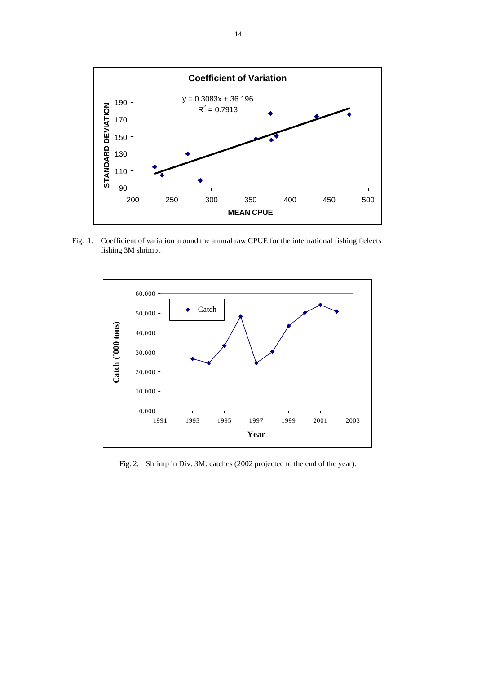

Fig. 1. Coefficient of variation around the annual raw CPUE for the international fishing fæleets fishing 3M shrimp .



Fig. 2. Shrimp in Div. 3M: catches (2002 projected to the end of the year).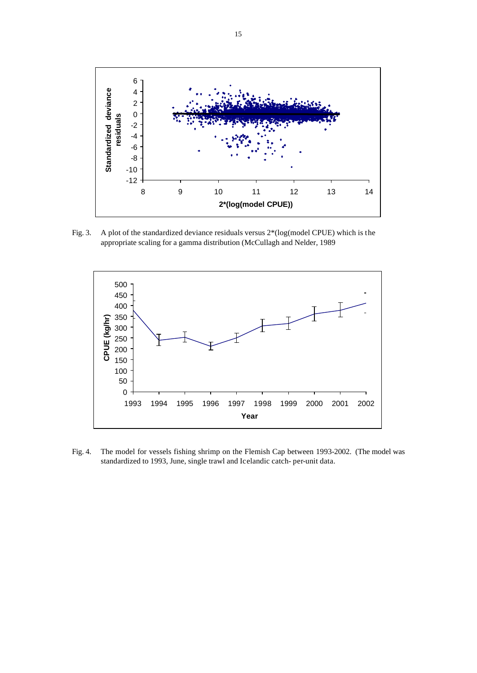

Fig. 3. A plot of the standardized deviance residuals versus  $2*(log(model$  CPUE) which is the appropriate scaling for a gamma distribution (McCullagh and Nelder, 1989



Fig. 4. The model for vessels fishing shrimp on the Flemish Cap between 1993-2002. (The model was standardized to 1993, June, single trawl and Icelandic catch- per-unit data.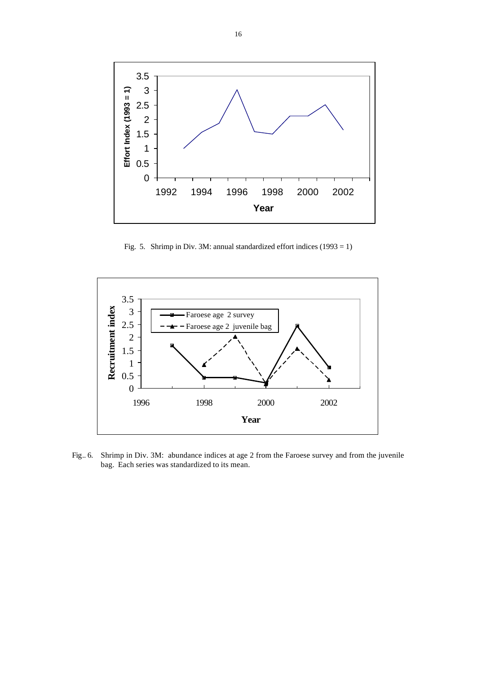

Fig. 5. Shrimp in Div. 3M: annual standardized effort indices  $(1993 = 1)$ 



Fig.. 6. Shrimp in Div. 3M: abundance indices at age 2 from the Faroese survey and from the juvenile bag. Each series was standardized to its mean.